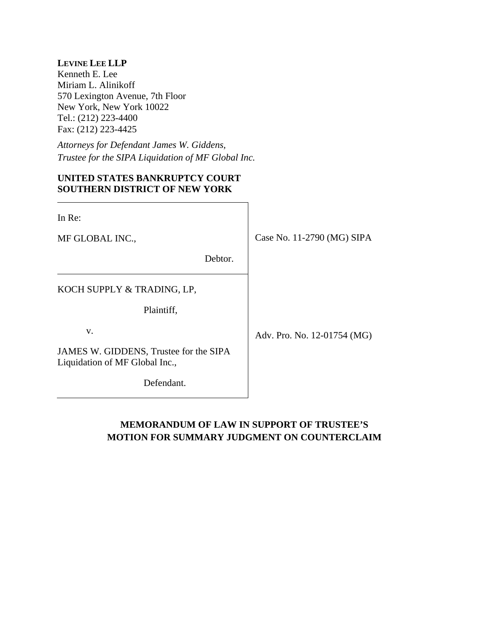# **LEVINE LEE LLP**

Kenneth E. Lee Miriam L. Alinikoff 570 Lexington Avenue, 7th Floor New York, New York 10022 Tel.: (212) 223-4400 Fax: (212) 223-4425

*Attorneys for Defendant James W. Giddens, Trustee for the SIPA Liquidation of MF Global Inc.*

# **UNITED STATES BANKRUPTCY COURT SOUTHERN DISTRICT OF NEW YORK**

| In Re:                                                                   |                             |
|--------------------------------------------------------------------------|-----------------------------|
| MF GLOBAL INC.,                                                          | Case No. 11-2790 (MG) SIPA  |
| Debtor.                                                                  |                             |
| KOCH SUPPLY & TRADING, LP,                                               |                             |
| Plaintiff,                                                               |                             |
| V.                                                                       | Adv. Pro. No. 12-01754 (MG) |
| JAMES W. GIDDENS, Trustee for the SIPA<br>Liquidation of MF Global Inc., |                             |
| Defendant.                                                               |                             |

# **MEMORANDUM OF LAW IN SUPPORT OF TRUSTEE'S MOTION FOR SUMMARY JUDGMENT ON COUNTERCLAIM**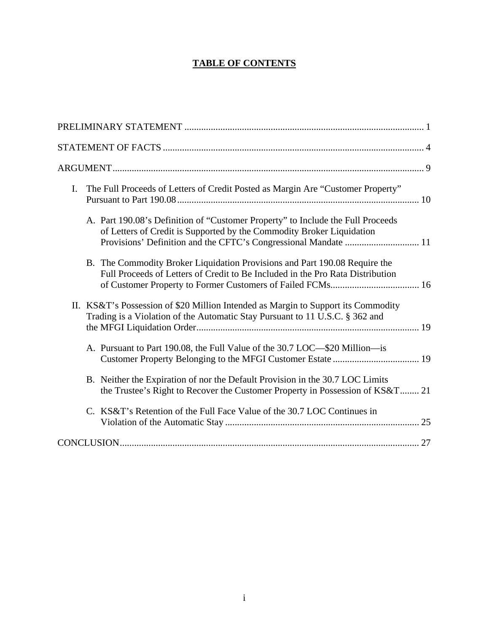# **TABLE OF CONTENTS**

| The Full Proceeds of Letters of Credit Posted as Margin Are "Customer Property"<br>I.                                                                             |
|-------------------------------------------------------------------------------------------------------------------------------------------------------------------|
| A. Part 190.08's Definition of "Customer Property" to Include the Full Proceeds<br>of Letters of Credit is Supported by the Commodity Broker Liquidation          |
| B. The Commodity Broker Liquidation Provisions and Part 190.08 Require the<br>Full Proceeds of Letters of Credit to Be Included in the Pro Rata Distribution      |
| II. KS&T's Possession of \$20 Million Intended as Margin to Support its Commodity<br>Trading is a Violation of the Automatic Stay Pursuant to 11 U.S.C. § 362 and |
| A. Pursuant to Part 190.08, the Full Value of the 30.7 LOC—\$20 Million—is                                                                                        |
| B. Neither the Expiration of nor the Default Provision in the 30.7 LOC Limits<br>the Trustee's Right to Recover the Customer Property in Possession of KS&T 21    |
| C. KS&T's Retention of the Full Face Value of the 30.7 LOC Continues in                                                                                           |
|                                                                                                                                                                   |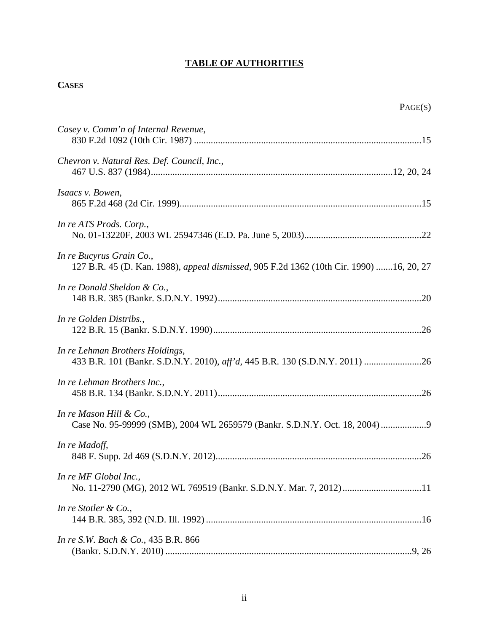# **TABLE OF AUTHORITIES**

# **CASES**

| г. |
|----|
|----|

| Casey v. Comm'n of Internal Revenue,                                                                                |
|---------------------------------------------------------------------------------------------------------------------|
| Chevron v. Natural Res. Def. Council, Inc.,                                                                         |
| Isaacs v. Bowen,                                                                                                    |
| In re ATS Prods. Corp.,                                                                                             |
| In re Bucyrus Grain Co.,<br>127 B.R. 45 (D. Kan. 1988), appeal dismissed, 905 F.2d 1362 (10th Cir. 1990) 16, 20, 27 |
| In re Donald Sheldon & Co.,                                                                                         |
| In re Golden Distribs.,                                                                                             |
| In re Lehman Brothers Holdings,                                                                                     |
| In re Lehman Brothers Inc.,                                                                                         |
| In re Mason Hill & Co.,<br>Case No. 95-99999 (SMB), 2004 WL 2659579 (Bankr. S.D.N.Y. Oct. 18, 2004)                 |
| In re Madoff,                                                                                                       |
| In re MF Global Inc.,<br>No. 11-2790 (MG), 2012 WL 769519 (Bankr. S.D.N.Y. Mar. 7, 2012) 11                         |
| In re Stotler & Co.,                                                                                                |
| In re S.W. Bach & Co., 435 B.R. 866                                                                                 |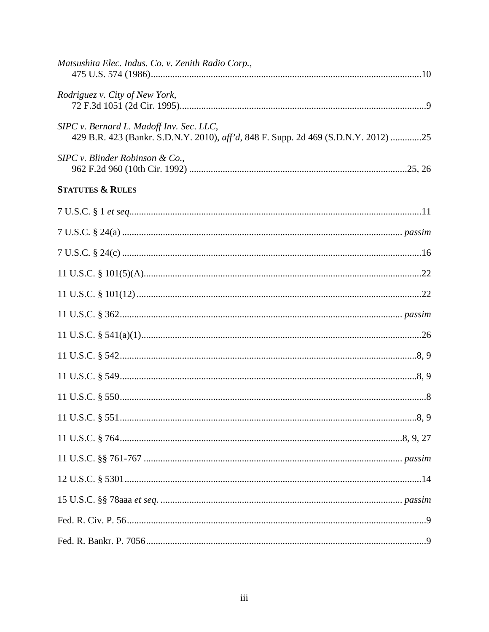| Matsushita Elec. Indus. Co. v. Zenith Radio Corp.,                                                                             |  |
|--------------------------------------------------------------------------------------------------------------------------------|--|
| Rodriguez v. City of New York,                                                                                                 |  |
| SIPC v. Bernard L. Madoff Inv. Sec. LLC,<br>429 B.R. 423 (Bankr. S.D.N.Y. 2010), aff'd, 848 F. Supp. 2d 469 (S.D.N.Y. 2012) 25 |  |
| $SIPC$ v. Blinder Robinson & Co.,                                                                                              |  |
| <b>STATUTES &amp; RULES</b>                                                                                                    |  |
|                                                                                                                                |  |
|                                                                                                                                |  |
|                                                                                                                                |  |
|                                                                                                                                |  |
|                                                                                                                                |  |
|                                                                                                                                |  |
|                                                                                                                                |  |
|                                                                                                                                |  |
|                                                                                                                                |  |
|                                                                                                                                |  |
|                                                                                                                                |  |
|                                                                                                                                |  |
|                                                                                                                                |  |
|                                                                                                                                |  |
|                                                                                                                                |  |
|                                                                                                                                |  |
|                                                                                                                                |  |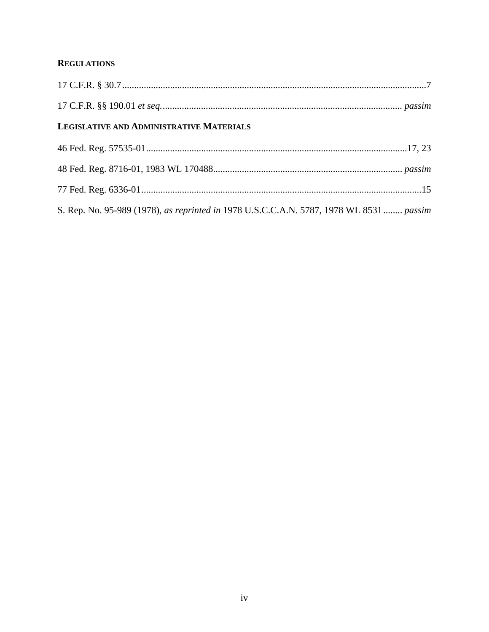# **REGULATIONS**

| LEGISLATIVE AND ADMINISTRATIVE MATERIALS                                                |
|-----------------------------------------------------------------------------------------|
|                                                                                         |
|                                                                                         |
|                                                                                         |
| S. Rep. No. 95-989 (1978), as reprinted in 1978 U.S.C.C.A.N. 5787, 1978 WL 8531  passim |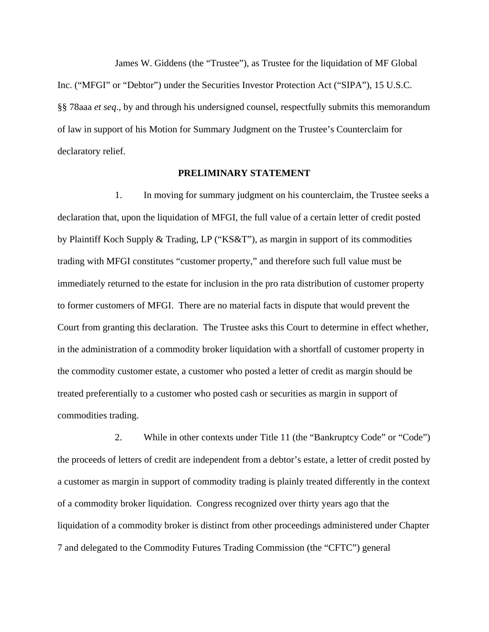James W. Giddens (the "Trustee"), as Trustee for the liquidation of MF Global Inc. ("MFGI" or "Debtor") under the Securities Investor Protection Act ("SIPA"), 15 U.S.C. §§ 78aaa *et seq*., by and through his undersigned counsel, respectfully submits this memorandum of law in support of his Motion for Summary Judgment on the Trustee's Counterclaim for declaratory relief.

#### **PRELIMINARY STATEMENT**

1. In moving for summary judgment on his counterclaim, the Trustee seeks a declaration that, upon the liquidation of MFGI, the full value of a certain letter of credit posted by Plaintiff Koch Supply & Trading, LP ("KS&T"), as margin in support of its commodities trading with MFGI constitutes "customer property," and therefore such full value must be immediately returned to the estate for inclusion in the pro rata distribution of customer property to former customers of MFGI. There are no material facts in dispute that would prevent the Court from granting this declaration. The Trustee asks this Court to determine in effect whether, in the administration of a commodity broker liquidation with a shortfall of customer property in the commodity customer estate, a customer who posted a letter of credit as margin should be treated preferentially to a customer who posted cash or securities as margin in support of commodities trading.

2. While in other contexts under Title 11 (the "Bankruptcy Code" or "Code") the proceeds of letters of credit are independent from a debtor's estate, a letter of credit posted by a customer as margin in support of commodity trading is plainly treated differently in the context of a commodity broker liquidation. Congress recognized over thirty years ago that the liquidation of a commodity broker is distinct from other proceedings administered under Chapter 7 and delegated to the Commodity Futures Trading Commission (the "CFTC") general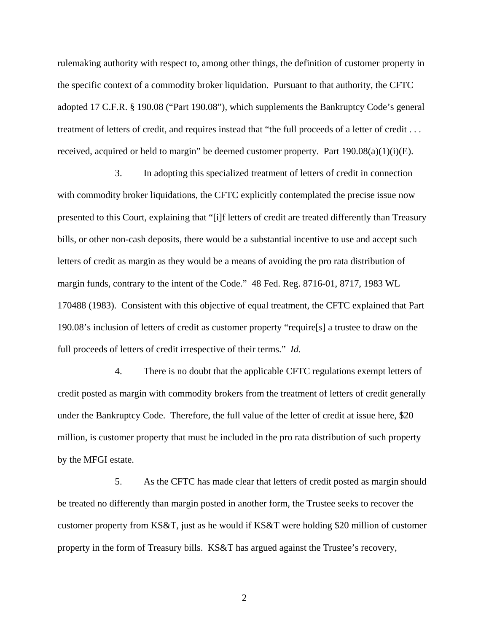rulemaking authority with respect to, among other things, the definition of customer property in the specific context of a commodity broker liquidation. Pursuant to that authority, the CFTC adopted 17 C.F.R. § 190.08 ("Part 190.08"), which supplements the Bankruptcy Code's general treatment of letters of credit, and requires instead that "the full proceeds of a letter of credit . . . received, acquired or held to margin" be deemed customer property. Part  $190.08(a)(1)(i)(E)$ .

3. In adopting this specialized treatment of letters of credit in connection with commodity broker liquidations, the CFTC explicitly contemplated the precise issue now presented to this Court, explaining that "[i]f letters of credit are treated differently than Treasury bills, or other non-cash deposits, there would be a substantial incentive to use and accept such letters of credit as margin as they would be a means of avoiding the pro rata distribution of margin funds, contrary to the intent of the Code." 48 Fed. Reg. 8716-01, 8717, 1983 WL 170488 (1983). Consistent with this objective of equal treatment, the CFTC explained that Part 190.08's inclusion of letters of credit as customer property "require[s] a trustee to draw on the full proceeds of letters of credit irrespective of their terms." *Id.*

4. There is no doubt that the applicable CFTC regulations exempt letters of credit posted as margin with commodity brokers from the treatment of letters of credit generally under the Bankruptcy Code. Therefore, the full value of the letter of credit at issue here, \$20 million, is customer property that must be included in the pro rata distribution of such property by the MFGI estate.

5. As the CFTC has made clear that letters of credit posted as margin should be treated no differently than margin posted in another form, the Trustee seeks to recover the customer property from KS&T, just as he would if KS&T were holding \$20 million of customer property in the form of Treasury bills. KS&T has argued against the Trustee's recovery,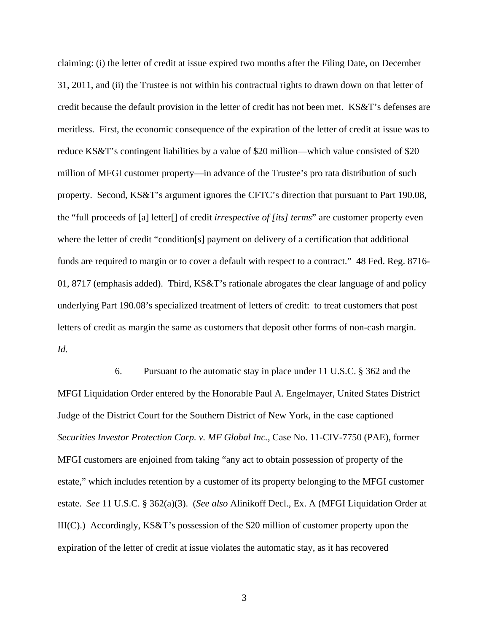claiming: (i) the letter of credit at issue expired two months after the Filing Date, on December 31, 2011, and (ii) the Trustee is not within his contractual rights to drawn down on that letter of credit because the default provision in the letter of credit has not been met. KS&T's defenses are meritless. First, the economic consequence of the expiration of the letter of credit at issue was to reduce KS&T's contingent liabilities by a value of \$20 million—which value consisted of \$20 million of MFGI customer property—in advance of the Trustee's pro rata distribution of such property. Second, KS&T's argument ignores the CFTC's direction that pursuant to Part 190.08, the "full proceeds of [a] letter[] of credit *irrespective of [its] terms*" are customer property even where the letter of credit "condition[s] payment on delivery of a certification that additional funds are required to margin or to cover a default with respect to a contract." 48 Fed. Reg. 8716- 01, 8717 (emphasis added). Third, KS&T's rationale abrogates the clear language of and policy underlying Part 190.08's specialized treatment of letters of credit: to treat customers that post letters of credit as margin the same as customers that deposit other forms of non-cash margin. *Id.*

6. Pursuant to the automatic stay in place under 11 U.S.C. § 362 and the MFGI Liquidation Order entered by the Honorable Paul A. Engelmayer, United States District Judge of the District Court for the Southern District of New York, in the case captioned *Securities Investor Protection Corp. v. MF Global Inc.*, Case No. 11-CIV-7750 (PAE), former MFGI customers are enjoined from taking "any act to obtain possession of property of the estate," which includes retention by a customer of its property belonging to the MFGI customer estate. *See* 11 U.S.C. § 362(a)(3). (*See also* Alinikoff Decl., Ex. A (MFGI Liquidation Order at III(C).) Accordingly, KS&T's possession of the \$20 million of customer property upon the expiration of the letter of credit at issue violates the automatic stay, as it has recovered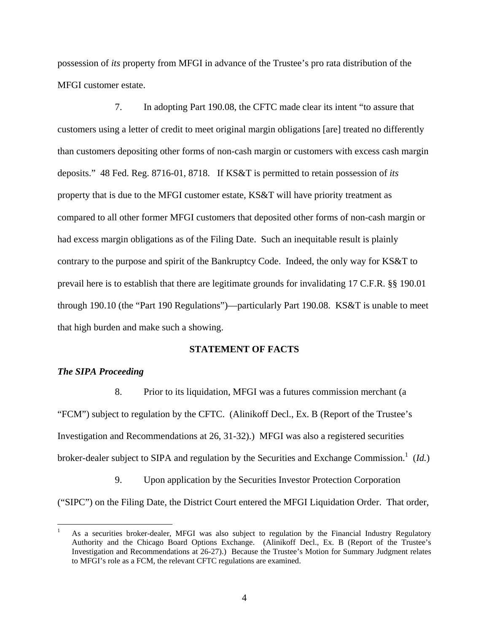possession of *its* property from MFGI in advance of the Trustee's pro rata distribution of the MFGI customer estate.

7. In adopting Part 190.08, the CFTC made clear its intent "to assure that customers using a letter of credit to meet original margin obligations [are] treated no differently than customers depositing other forms of non-cash margin or customers with excess cash margin deposits." 48 Fed. Reg. 8716-01, 8718. If KS&T is permitted to retain possession of *its* property that is due to the MFGI customer estate, KS&T will have priority treatment as compared to all other former MFGI customers that deposited other forms of non-cash margin or had excess margin obligations as of the Filing Date. Such an inequitable result is plainly contrary to the purpose and spirit of the Bankruptcy Code. Indeed, the only way for KS&T to prevail here is to establish that there are legitimate grounds for invalidating 17 C.F.R. §§ 190.01 through 190.10 (the "Part 190 Regulations")—particularly Part 190.08. KS&T is unable to meet that high burden and make such a showing.

#### **STATEMENT OF FACTS**

### *The SIPA Proceeding*

1

8. Prior to its liquidation, MFGI was a futures commission merchant (a "FCM") subject to regulation by the CFTC. (Alinikoff Decl., Ex. B (Report of the Trustee's Investigation and Recommendations at 26, 31-32).) MFGI was also a registered securities broker-dealer subject to SIPA and regulation by the Securities and Exchange Commission.<sup>1</sup> (*Id.*)

9. Upon application by the Securities Investor Protection Corporation ("SIPC") on the Filing Date, the District Court entered the MFGI Liquidation Order. That order,

<sup>1</sup> As a securities broker-dealer, MFGI was also subject to regulation by the Financial Industry Regulatory Authority and the Chicago Board Options Exchange. (Alinikoff Decl., Ex. B (Report of the Trustee's Investigation and Recommendations at 26-27).) Because the Trustee's Motion for Summary Judgment relates to MFGI's role as a FCM, the relevant CFTC regulations are examined.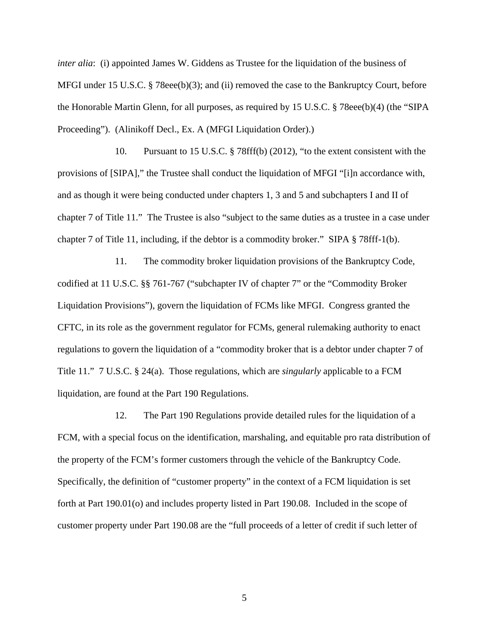*inter alia*: (i) appointed James W. Giddens as Trustee for the liquidation of the business of MFGI under 15 U.S.C. § 78eee(b)(3); and (ii) removed the case to the Bankruptcy Court, before the Honorable Martin Glenn, for all purposes, as required by 15 U.S.C. § 78eee(b)(4) (the "SIPA Proceeding"). (Alinikoff Decl., Ex. A (MFGI Liquidation Order).)

10. Pursuant to 15 U.S.C. § 78fff(b) (2012), "to the extent consistent with the provisions of [SIPA]," the Trustee shall conduct the liquidation of MFGI "[i]n accordance with, and as though it were being conducted under chapters 1, 3 and 5 and subchapters I and II of chapter 7 of Title 11." The Trustee is also "subject to the same duties as a trustee in a case under chapter 7 of Title 11, including, if the debtor is a commodity broker." SIPA § 78fff-1(b).

11. The commodity broker liquidation provisions of the Bankruptcy Code, codified at 11 U.S.C. §§ 761-767 ("subchapter IV of chapter 7" or the "Commodity Broker Liquidation Provisions"), govern the liquidation of FCMs like MFGI. Congress granted the CFTC, in its role as the government regulator for FCMs, general rulemaking authority to enact regulations to govern the liquidation of a "commodity broker that is a debtor under chapter 7 of Title 11." 7 U.S.C. § 24(a). Those regulations, which are *singularly* applicable to a FCM liquidation, are found at the Part 190 Regulations.

12. The Part 190 Regulations provide detailed rules for the liquidation of a FCM, with a special focus on the identification, marshaling, and equitable pro rata distribution of the property of the FCM's former customers through the vehicle of the Bankruptcy Code. Specifically, the definition of "customer property" in the context of a FCM liquidation is set forth at Part 190.01(o) and includes property listed in Part 190.08. Included in the scope of customer property under Part 190.08 are the "full proceeds of a letter of credit if such letter of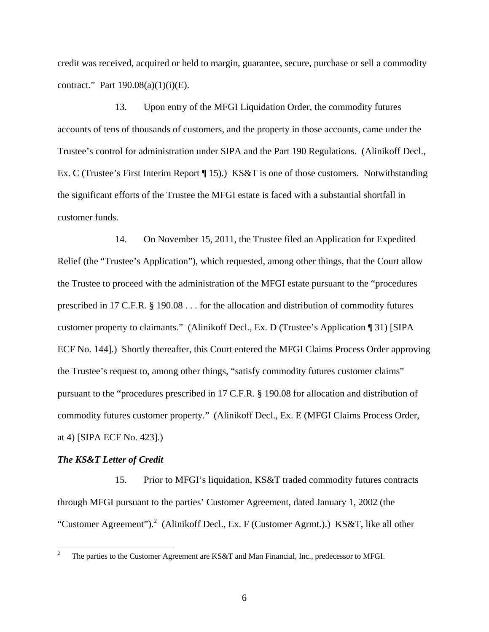credit was received, acquired or held to margin, guarantee, secure, purchase or sell a commodity contract." Part  $190.08(a)(1)(i)(E)$ .

13. Upon entry of the MFGI Liquidation Order, the commodity futures accounts of tens of thousands of customers, and the property in those accounts, came under the Trustee's control for administration under SIPA and the Part 190 Regulations. (Alinikoff Decl., Ex. C (Trustee's First Interim Report [15).) KS&T is one of those customers. Notwithstanding the significant efforts of the Trustee the MFGI estate is faced with a substantial shortfall in customer funds.

14. On November 15, 2011, the Trustee filed an Application for Expedited Relief (the "Trustee's Application"), which requested, among other things, that the Court allow the Trustee to proceed with the administration of the MFGI estate pursuant to the "procedures prescribed in 17 C.F.R. § 190.08 . . . for the allocation and distribution of commodity futures customer property to claimants." (Alinikoff Decl., Ex. D (Trustee's Application ¶ 31) [SIPA ECF No. 144].) Shortly thereafter, this Court entered the MFGI Claims Process Order approving the Trustee's request to, among other things, "satisfy commodity futures customer claims" pursuant to the "procedures prescribed in 17 C.F.R. § 190.08 for allocation and distribution of commodity futures customer property." (Alinikoff Decl., Ex. E (MFGI Claims Process Order, at 4) [SIPA ECF No. 423].)

### *The KS&T Letter of Credit*

 $\overline{a}$ 

15. Prior to MFGI's liquidation, KS&T traded commodity futures contracts through MFGI pursuant to the parties' Customer Agreement, dated January 1, 2002 (the "Customer Agreement").<sup>2</sup> (Alinikoff Decl., Ex. F (Customer Agrmt.).) KS&T, like all other

<sup>2</sup> The parties to the Customer Agreement are KS&T and Man Financial, Inc., predecessor to MFGI.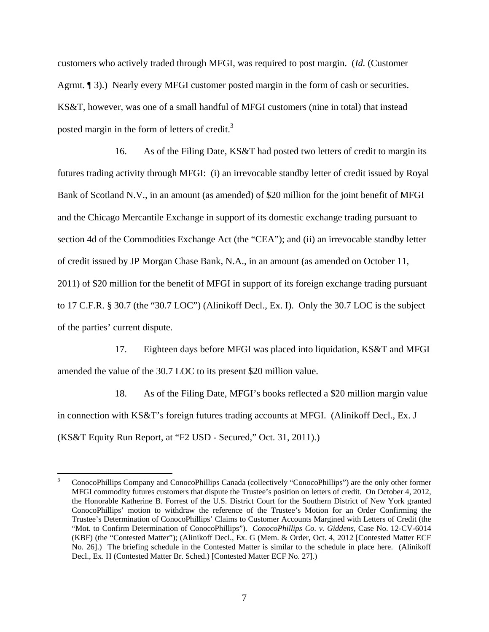customers who actively traded through MFGI, was required to post margin. (*Id.* (Customer Agrmt. ¶ 3).) Nearly every MFGI customer posted margin in the form of cash or securities. KS&T, however, was one of a small handful of MFGI customers (nine in total) that instead posted margin in the form of letters of credit.<sup>3</sup>

16. As of the Filing Date, KS&T had posted two letters of credit to margin its futures trading activity through MFGI: (i) an irrevocable standby letter of credit issued by Royal Bank of Scotland N.V., in an amount (as amended) of \$20 million for the joint benefit of MFGI and the Chicago Mercantile Exchange in support of its domestic exchange trading pursuant to section 4d of the Commodities Exchange Act (the "CEA"); and (ii) an irrevocable standby letter of credit issued by JP Morgan Chase Bank, N.A., in an amount (as amended on October 11, 2011) of \$20 million for the benefit of MFGI in support of its foreign exchange trading pursuant to 17 C.F.R. § 30.7 (the "30.7 LOC") (Alinikoff Decl., Ex. I). Only the 30.7 LOC is the subject of the parties' current dispute.

17. Eighteen days before MFGI was placed into liquidation, KS&T and MFGI amended the value of the 30.7 LOC to its present \$20 million value.

18. As of the Filing Date, MFGI's books reflected a \$20 million margin value in connection with KS&T's foreign futures trading accounts at MFGI. (Alinikoff Decl., Ex. J (KS&T Equity Run Report, at "F2 USD - Secured," Oct. 31, 2011).)

 $\overline{a}$ 

<sup>3</sup> ConocoPhillips Company and ConocoPhillips Canada (collectively "ConocoPhillips") are the only other former MFGI commodity futures customers that dispute the Trustee's position on letters of credit. On October 4, 2012, the Honorable Katherine B. Forrest of the U.S. District Court for the Southern District of New York granted ConocoPhillips' motion to withdraw the reference of the Trustee's Motion for an Order Confirming the Trustee's Determination of ConocoPhillips' Claims to Customer Accounts Margined with Letters of Credit (the "Mot. to Confirm Determination of ConocoPhillips"). *ConocoPhillips Co. v. Giddens*, Case No. 12-CV-6014 (KBF) (the "Contested Matter"); (Alinikoff Decl., Ex. G (Mem. & Order, Oct. 4, 2012 [Contested Matter ECF No. 26].) The briefing schedule in the Contested Matter is similar to the schedule in place here. (Alinikoff Decl., Ex. H (Contested Matter Br. Sched.) [Contested Matter ECF No. 27].)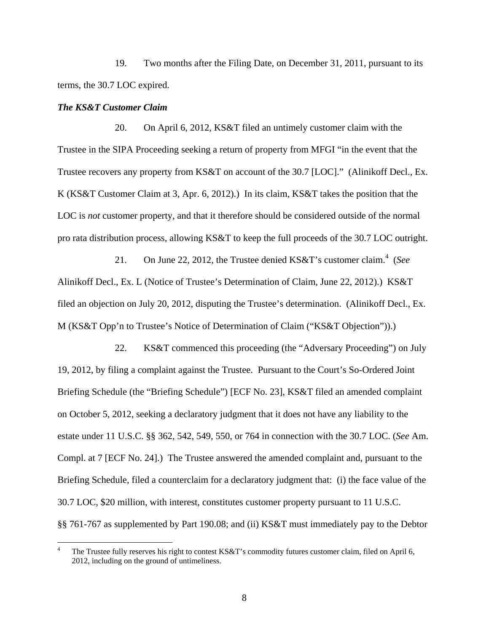19. Two months after the Filing Date, on December 31, 2011, pursuant to its terms, the 30.7 LOC expired.

### *The KS&T Customer Claim*

20. On April 6, 2012, KS&T filed an untimely customer claim with the Trustee in the SIPA Proceeding seeking a return of property from MFGI "in the event that the Trustee recovers any property from KS&T on account of the 30.7 [LOC]." (Alinikoff Decl., Ex. K (KS&T Customer Claim at 3, Apr. 6, 2012).) In its claim, KS&T takes the position that the LOC is *not* customer property, and that it therefore should be considered outside of the normal pro rata distribution process, allowing KS&T to keep the full proceeds of the 30.7 LOC outright.

21. On June 22, 2012, the Trustee denied KS&T's customer claim.<sup>4</sup> (See Alinikoff Decl., Ex. L (Notice of Trustee's Determination of Claim, June 22, 2012).) KS&T filed an objection on July 20, 2012, disputing the Trustee's determination. (Alinikoff Decl., Ex. M (KS&T Opp'n to Trustee's Notice of Determination of Claim ("KS&T Objection")).)

22. KS&T commenced this proceeding (the "Adversary Proceeding") on July 19, 2012, by filing a complaint against the Trustee. Pursuant to the Court's So-Ordered Joint Briefing Schedule (the "Briefing Schedule") [ECF No. 23], KS&T filed an amended complaint on October 5, 2012, seeking a declaratory judgment that it does not have any liability to the estate under 11 U.S.C. §§ 362, 542, 549, 550, or 764 in connection with the 30.7 LOC. (*See* Am. Compl. at 7 [ECF No. 24].) The Trustee answered the amended complaint and, pursuant to the Briefing Schedule, filed a counterclaim for a declaratory judgment that: (i) the face value of the 30.7 LOC, \$20 million, with interest, constitutes customer property pursuant to 11 U.S.C. §§ 761-767 as supplemented by Part 190.08; and (ii) KS&T must immediately pay to the Debtor

 $\frac{1}{4}$  The Trustee fully reserves his right to contest KS&T's commodity futures customer claim, filed on April 6, 2012, including on the ground of untimeliness.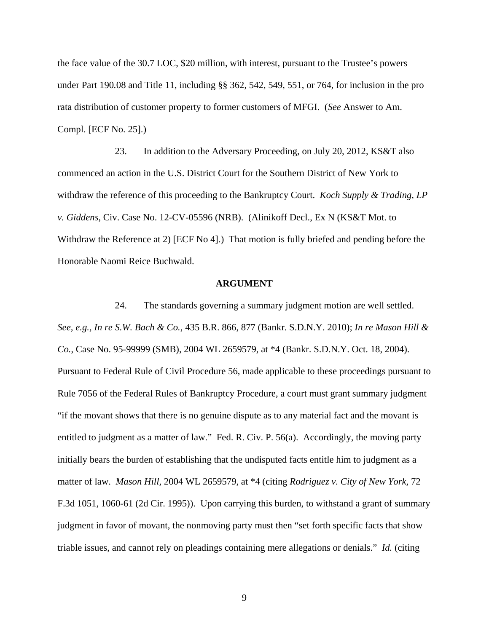the face value of the 30.7 LOC, \$20 million, with interest, pursuant to the Trustee's powers under Part 190*.*08 and Title 11, including §§ 362, 542, 549, 551, or 764, for inclusion in the pro rata distribution of customer property to former customers of MFGI. (*See* Answer to Am. Compl. [ECF No. 25].)

23. In addition to the Adversary Proceeding, on July 20, 2012, KS&T also commenced an action in the U.S. District Court for the Southern District of New York to withdraw the reference of this proceeding to the Bankruptcy Court. *Koch Supply & Trading, LP v. Giddens*, Civ. Case No. 12-CV-05596 (NRB). (Alinikoff Decl., Ex N (KS&T Mot. to Withdraw the Reference at 2) [ECF No 4].) That motion is fully briefed and pending before the Honorable Naomi Reice Buchwald.

#### **ARGUMENT**

24. The standards governing a summary judgment motion are well settled. *See, e.g., In re S.W. Bach & Co.*, 435 B.R. 866, 877 (Bankr. S.D.N.Y. 2010); *In re Mason Hill & Co.*, Case No. 95-99999 (SMB), 2004 WL 2659579, at \*4 (Bankr. S.D.N.Y. Oct. 18, 2004). Pursuant to Federal Rule of Civil Procedure 56, made applicable to these proceedings pursuant to Rule 7056 of the Federal Rules of Bankruptcy Procedure, a court must grant summary judgment "if the movant shows that there is no genuine dispute as to any material fact and the movant is entitled to judgment as a matter of law." Fed. R. Civ. P. 56(a). Accordingly, the moving party initially bears the burden of establishing that the undisputed facts entitle him to judgment as a matter of law. *Mason Hill,* 2004 WL 2659579, at \*4 (citing *Rodriguez v. City of New York,* 72 F.3d 1051, 1060-61 (2d Cir. 1995)). Upon carrying this burden, to withstand a grant of summary judgment in favor of movant, the nonmoving party must then "set forth specific facts that show triable issues, and cannot rely on pleadings containing mere allegations or denials." *Id.* (citing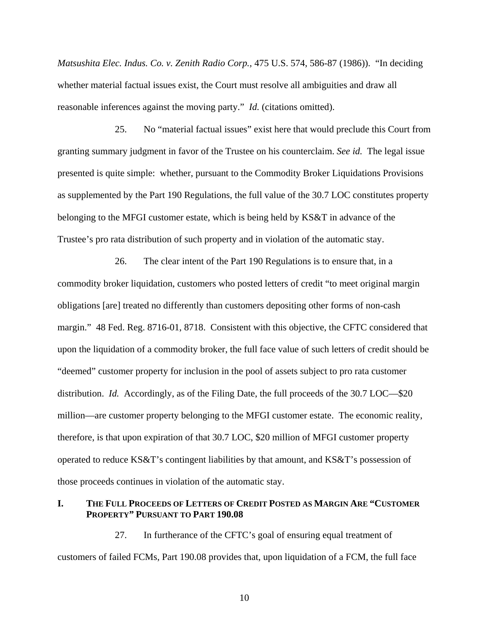*Matsushita Elec. Indus. Co. v. Zenith Radio Corp.,* 475 U.S. 574, 586-87 (1986)). "In deciding whether material factual issues exist, the Court must resolve all ambiguities and draw all reasonable inferences against the moving party." *Id.* (citations omitted).

25. No "material factual issues" exist here that would preclude this Court from granting summary judgment in favor of the Trustee on his counterclaim. *See id.* The legal issue presented is quite simple: whether, pursuant to the Commodity Broker Liquidations Provisions as supplemented by the Part 190 Regulations, the full value of the 30.7 LOC constitutes property belonging to the MFGI customer estate, which is being held by KS&T in advance of the Trustee's pro rata distribution of such property and in violation of the automatic stay.

26. The clear intent of the Part 190 Regulations is to ensure that, in a commodity broker liquidation, customers who posted letters of credit "to meet original margin obligations [are] treated no differently than customers depositing other forms of non-cash margin." 48 Fed. Reg. 8716-01, 8718. Consistent with this objective, the CFTC considered that upon the liquidation of a commodity broker, the full face value of such letters of credit should be "deemed" customer property for inclusion in the pool of assets subject to pro rata customer distribution. *Id.* Accordingly, as of the Filing Date, the full proceeds of the 30.7 LOC—\$20 million—are customer property belonging to the MFGI customer estate. The economic reality, therefore, is that upon expiration of that 30.7 LOC, \$20 million of MFGI customer property operated to reduce KS&T's contingent liabilities by that amount, and KS&T's possession of those proceeds continues in violation of the automatic stay.

### **I. THE FULL PROCEEDS OF LETTERS OF CREDIT POSTED AS MARGIN ARE "CUSTOMER PROPERTY" PURSUANT TO PART 190.08**

27. In furtherance of the CFTC's goal of ensuring equal treatment of customers of failed FCMs, Part 190.08 provides that, upon liquidation of a FCM, the full face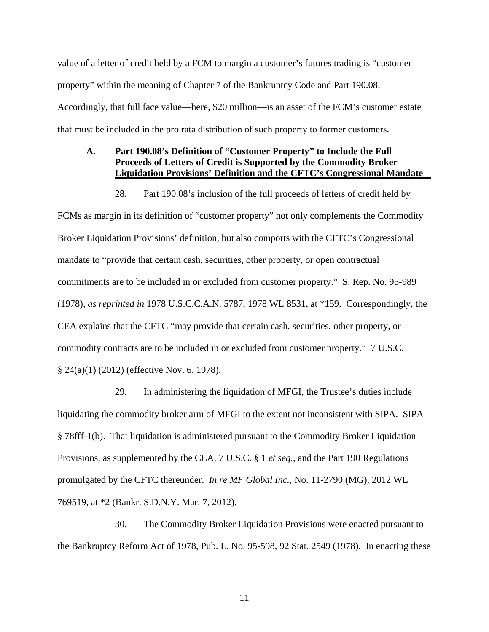value of a letter of credit held by a FCM to margin a customer's futures trading is "customer property" within the meaning of Chapter 7 of the Bankruptcy Code and Part 190.08. Accordingly, that full face value—here, \$20 million—is an asset of the FCM's customer estate that must be included in the pro rata distribution of such property to former customers.

# **A. Part 190.08's Definition of "Customer Property" to Include the Full Proceeds of Letters of Credit is Supported by the Commodity Broker Liquidation Provisions' Definition and the CFTC's Congressional Mandate**

28. Part 190.08's inclusion of the full proceeds of letters of credit held by

FCMs as margin in its definition of "customer property" not only complements the Commodity Broker Liquidation Provisions' definition, but also comports with the CFTC's Congressional mandate to "provide that certain cash, securities, other property, or open contractual commitments are to be included in or excluded from customer property." S. Rep. No. 95-989 (1978), *as reprinted in* 1978 U.S.C.C.A.N. 5787, 1978 WL 8531, at \*159. Correspondingly, the CEA explains that the CFTC "may provide that certain cash, securities, other property, or commodity contracts are to be included in or excluded from customer property." 7 U.S.C. § 24(a)(1) (2012) (effective Nov. 6, 1978).

29. In administering the liquidation of MFGI, the Trustee's duties include liquidating the commodity broker arm of MFGI to the extent not inconsistent with SIPA. SIPA § 78fff-1(b). That liquidation is administered pursuant to the Commodity Broker Liquidation Provisions, as supplemented by the CEA, 7 U.S.C. § 1 *et seq.,* and the Part 190 Regulations promulgated by the CFTC thereunder. *In re MF Global Inc.*, No. 11-2790 (MG), 2012 WL 769519, at \*2 (Bankr. S.D.N.Y. Mar. 7, 2012).

30. The Commodity Broker Liquidation Provisions were enacted pursuant to the Bankruptcy Reform Act of 1978, Pub. L. No. 95-598, 92 Stat. 2549 (1978). In enacting these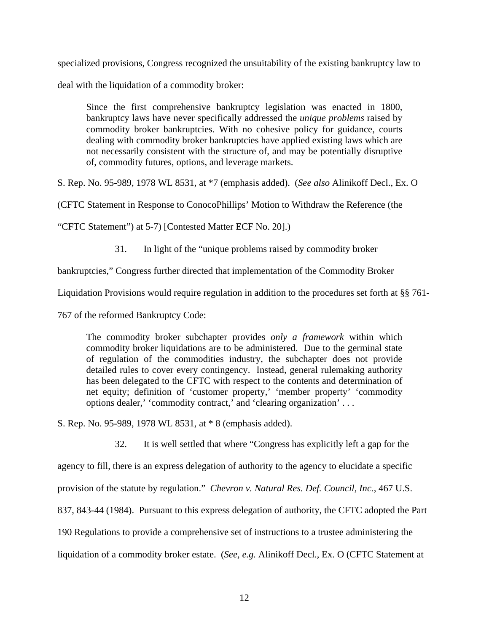specialized provisions, Congress recognized the unsuitability of the existing bankruptcy law to

deal with the liquidation of a commodity broker:

Since the first comprehensive bankruptcy legislation was enacted in 1800, bankruptcy laws have never specifically addressed the *unique problems* raised by commodity broker bankruptcies. With no cohesive policy for guidance, courts dealing with commodity broker bankruptcies have applied existing laws which are not necessarily consistent with the structure of, and may be potentially disruptive of, commodity futures, options, and leverage markets.

S. Rep. No. 95-989, 1978 WL 8531, at \*7 (emphasis added). (*See also* Alinikoff Decl., Ex. O

(CFTC Statement in Response to ConocoPhillips' Motion to Withdraw the Reference (the

"CFTC Statement") at 5-7) [Contested Matter ECF No. 20].)

31. In light of the "unique problems raised by commodity broker

bankruptcies," Congress further directed that implementation of the Commodity Broker

Liquidation Provisions would require regulation in addition to the procedures set forth at §§ 761-

767 of the reformed Bankruptcy Code:

The commodity broker subchapter provides *only a framework* within which commodity broker liquidations are to be administered. Due to the germinal state of regulation of the commodities industry, the subchapter does not provide detailed rules to cover every contingency. Instead, general rulemaking authority has been delegated to the CFTC with respect to the contents and determination of net equity; definition of 'customer property,' 'member property' 'commodity options dealer,' 'commodity contract,' and 'clearing organization' . . .

S. Rep. No. 95-989, 1978 WL 8531, at \* 8 (emphasis added).

32. It is well settled that where "Congress has explicitly left a gap for the

agency to fill, there is an express delegation of authority to the agency to elucidate a specific

provision of the statute by regulation." *Chevron v. Natural Res. Def. Council, Inc.*, 467 U.S.

837, 843-44 (1984). Pursuant to this express delegation of authority, the CFTC adopted the Part

190 Regulations to provide a comprehensive set of instructions to a trustee administering the

liquidation of a commodity broker estate. (*See, e.g.* Alinikoff Decl., Ex. O (CFTC Statement at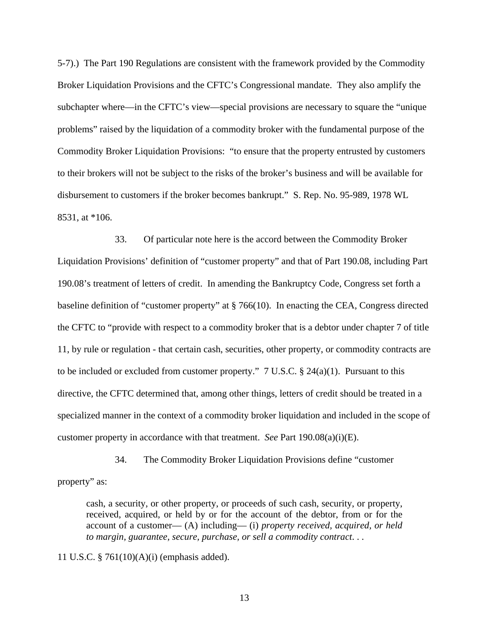5-7).) The Part 190 Regulations are consistent with the framework provided by the Commodity Broker Liquidation Provisions and the CFTC's Congressional mandate. They also amplify the subchapter where—in the CFTC's view—special provisions are necessary to square the "unique problems" raised by the liquidation of a commodity broker with the fundamental purpose of the Commodity Broker Liquidation Provisions: "to ensure that the property entrusted by customers to their brokers will not be subject to the risks of the broker's business and will be available for disbursement to customers if the broker becomes bankrupt." S. Rep. No. 95-989, 1978 WL 8531, at \*106.

33. Of particular note here is the accord between the Commodity Broker Liquidation Provisions' definition of "customer property" and that of Part 190.08, including Part 190.08's treatment of letters of credit. In amending the Bankruptcy Code, Congress set forth a baseline definition of "customer property" at § 766(10). In enacting the CEA, Congress directed the CFTC to "provide with respect to a commodity broker that is a debtor under chapter 7 of title 11, by rule or regulation - that certain cash, securities, other property, or commodity contracts are to be included or excluded from customer property."  $7 \text{ U.S.C.} \text{ } \text{\$} 24(a)(1)$ . Pursuant to this directive, the CFTC determined that, among other things, letters of credit should be treated in a specialized manner in the context of a commodity broker liquidation and included in the scope of customer property in accordance with that treatment. *See* Part 190.08(a)(i)(E).

34. The Commodity Broker Liquidation Provisions define "customer

property" as:

cash, a security, or other property, or proceeds of such cash, security, or property, received, acquired, or held by or for the account of the debtor, from or for the account of a customer— (A) including— (i) *property received, acquired, or held to margin, guarantee, secure, purchase, or sell a commodity contract*. . .

11 U.S.C. § 761(10)(A)(i) (emphasis added).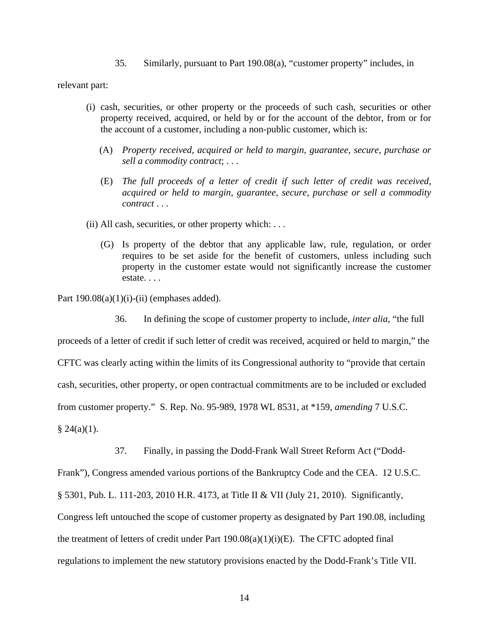35. Similarly, pursuant to Part 190.08(a), "customer property" includes, in

relevant part:

- (i) cash, securities, or other property or the proceeds of such cash, securities or other property received, acquired, or held by or for the account of the debtor, from or for the account of a customer, including a non-public customer, which is:
	- (A) *Property received, acquired or held to margin, guarantee, secure, purchase or sell a commodity contract*; . . .
	- (E) *The full proceeds of a letter of credit if such letter of credit was received, acquired or held to margin, guarantee, secure, purchase or sell a commodity contract* . . .
- (ii) All cash, securities, or other property which: . . .
	- (G) Is property of the debtor that any applicable law, rule, regulation, or order requires to be set aside for the benefit of customers, unless including such property in the customer estate would not significantly increase the customer estate. . . .

Part  $190.08(a)(1)(i)$ -(ii) (emphases added).

36. In defining the scope of customer property to include, *inter alia*, "the full

proceeds of a letter of credit if such letter of credit was received, acquired or held to margin," the CFTC was clearly acting within the limits of its Congressional authority to "provide that certain cash, securities, other property, or open contractual commitments are to be included or excluded from customer property." S. Rep. No. 95-989, 1978 WL 8531, at \*159, *amending* 7 U.S.C.  $§ 24(a)(1).$ 

37. Finally, in passing the Dodd-Frank Wall Street Reform Act ("Dodd-

Frank"), Congress amended various portions of the Bankruptcy Code and the CEA. 12 U.S.C.

§ 5301, Pub. L. 111-203, 2010 H.R. 4173, at Title II & VII (July 21, 2010). Significantly,

Congress left untouched the scope of customer property as designated by Part 190.08, including

the treatment of letters of credit under Part  $190.08(a)(1)(i)(E)$ . The CFTC adopted final

regulations to implement the new statutory provisions enacted by the Dodd-Frank's Title VII.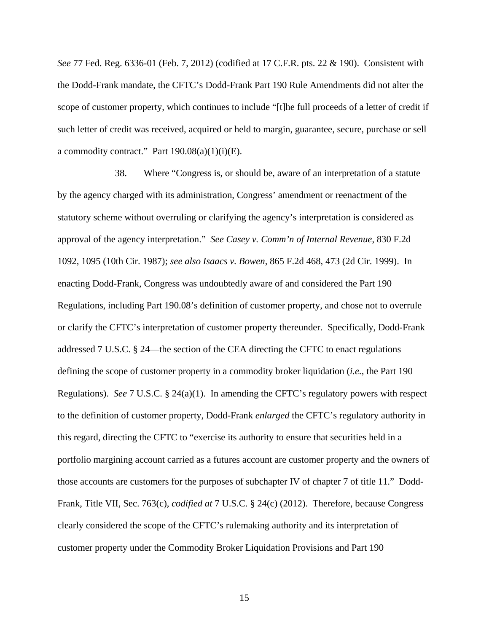*See* 77 Fed. Reg. 6336-01 (Feb. 7, 2012) (codified at 17 C.F.R. pts. 22 & 190). Consistent with the Dodd-Frank mandate, the CFTC's Dodd-Frank Part 190 Rule Amendments did not alter the scope of customer property, which continues to include "[t]he full proceeds of a letter of credit if such letter of credit was received, acquired or held to margin, guarantee, secure, purchase or sell a commodity contract." Part  $190.08(a)(1)(i)(E)$ .

38. Where "Congress is, or should be, aware of an interpretation of a statute by the agency charged with its administration, Congress' amendment or reenactment of the statutory scheme without overruling or clarifying the agency's interpretation is considered as approval of the agency interpretation." *See Casey v. Comm'n of Internal Revenue*, 830 F.2d 1092, 1095 (10th Cir. 1987); *see also Isaacs v. Bowen*, 865 F.2d 468, 473 (2d Cir. 1999). In enacting Dodd-Frank, Congress was undoubtedly aware of and considered the Part 190 Regulations, including Part 190.08's definition of customer property, and chose not to overrule or clarify the CFTC's interpretation of customer property thereunder. Specifically, Dodd-Frank addressed 7 U.S.C. § 24—the section of the CEA directing the CFTC to enact regulations defining the scope of customer property in a commodity broker liquidation (*i.e.,* the Part 190 Regulations). *See* 7 U.S.C. § 24(a)(1). In amending the CFTC's regulatory powers with respect to the definition of customer property, Dodd-Frank *enlarged* the CFTC's regulatory authority in this regard, directing the CFTC to "exercise its authority to ensure that securities held in a portfolio margining account carried as a futures account are customer property and the owners of those accounts are customers for the purposes of subchapter IV of chapter 7 of title 11." Dodd-Frank, Title VII, Sec. 763(c), *codified at* 7 U.S.C. § 24(c) (2012). Therefore, because Congress clearly considered the scope of the CFTC's rulemaking authority and its interpretation of customer property under the Commodity Broker Liquidation Provisions and Part 190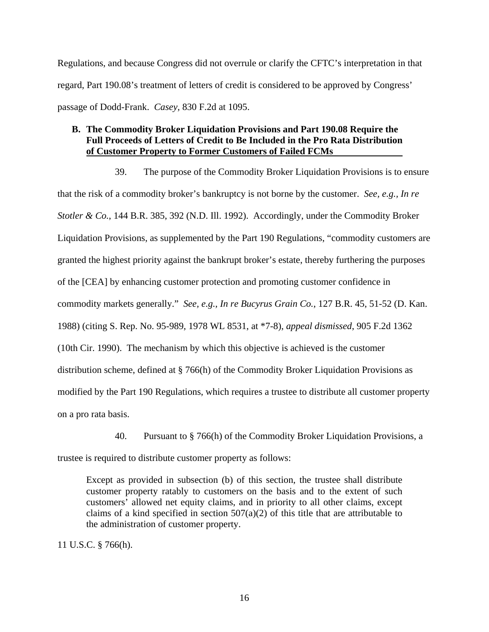Regulations, and because Congress did not overrule or clarify the CFTC's interpretation in that regard, Part 190.08's treatment of letters of credit is considered to be approved by Congress' passage of Dodd-Frank. *Casey,* 830 F.2d at 1095.

# **B. The Commodity Broker Liquidation Provisions and Part 190.08 Require the Full Proceeds of Letters of Credit to Be Included in the Pro Rata Distribution of Customer Property to Former Customers of Failed FCMs**

39. The purpose of the Commodity Broker Liquidation Provisions is to ensure that the risk of a commodity broker's bankruptcy is not borne by the customer. *See, e.g., In re Stotler & Co.*, 144 B.R. 385, 392 (N.D. Ill. 1992). Accordingly, under the Commodity Broker Liquidation Provisions, as supplemented by the Part 190 Regulations, "commodity customers are granted the highest priority against the bankrupt broker's estate, thereby furthering the purposes of the [CEA] by enhancing customer protection and promoting customer confidence in commodity markets generally." *See, e.g., In re Bucyrus Grain Co.*, 127 B.R. 45, 51-52 (D. Kan. 1988) (citing S. Rep. No. 95-989, 1978 WL 8531, at \*7-8), *appeal dismissed*, 905 F.2d 1362 (10th Cir. 1990). The mechanism by which this objective is achieved is the customer distribution scheme, defined at § 766(h) of the Commodity Broker Liquidation Provisions as modified by the Part 190 Regulations, which requires a trustee to distribute all customer property on a pro rata basis.

40. Pursuant to § 766(h) of the Commodity Broker Liquidation Provisions, a

trustee is required to distribute customer property as follows:

Except as provided in subsection (b) of this section, the trustee shall distribute customer property ratably to customers on the basis and to the extent of such customers' allowed net equity claims, and in priority to all other claims, except claims of a kind specified in section  $507(a)(2)$  of this title that are attributable to the administration of customer property.

11 U.S.C. § 766(h).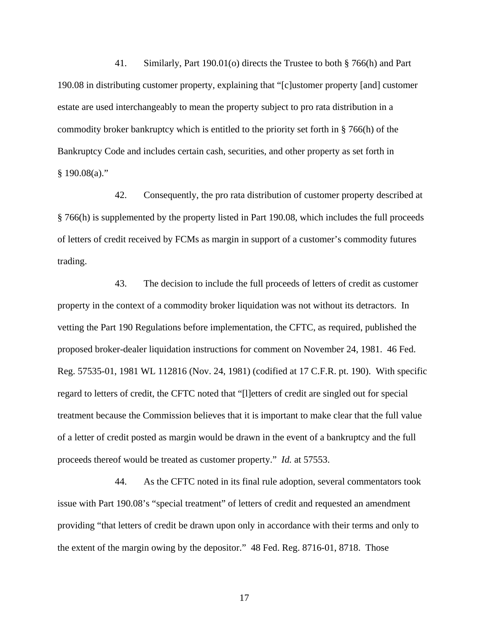41. Similarly, Part 190.01(o) directs the Trustee to both § 766(h) and Part 190.08 in distributing customer property, explaining that "[c]ustomer property [and] customer estate are used interchangeably to mean the property subject to pro rata distribution in a commodity broker bankruptcy which is entitled to the priority set forth in § 766(h) of the Bankruptcy Code and includes certain cash, securities, and other property as set forth in  $§ 190.08(a)."$ 

42. Consequently, the pro rata distribution of customer property described at § 766(h) is supplemented by the property listed in Part 190.08, which includes the full proceeds of letters of credit received by FCMs as margin in support of a customer's commodity futures trading.

43. The decision to include the full proceeds of letters of credit as customer property in the context of a commodity broker liquidation was not without its detractors. In vetting the Part 190 Regulations before implementation, the CFTC, as required, published the proposed broker-dealer liquidation instructions for comment on November 24, 1981. 46 Fed. Reg. 57535-01, 1981 WL 112816 (Nov. 24, 1981) (codified at 17 C.F.R. pt. 190). With specific regard to letters of credit, the CFTC noted that "[l]etters of credit are singled out for special treatment because the Commission believes that it is important to make clear that the full value of a letter of credit posted as margin would be drawn in the event of a bankruptcy and the full proceeds thereof would be treated as customer property." *Id.* at 57553.

44. As the CFTC noted in its final rule adoption, several commentators took issue with Part 190.08's "special treatment" of letters of credit and requested an amendment providing "that letters of credit be drawn upon only in accordance with their terms and only to the extent of the margin owing by the depositor." 48 Fed. Reg. 8716-01, 8718. Those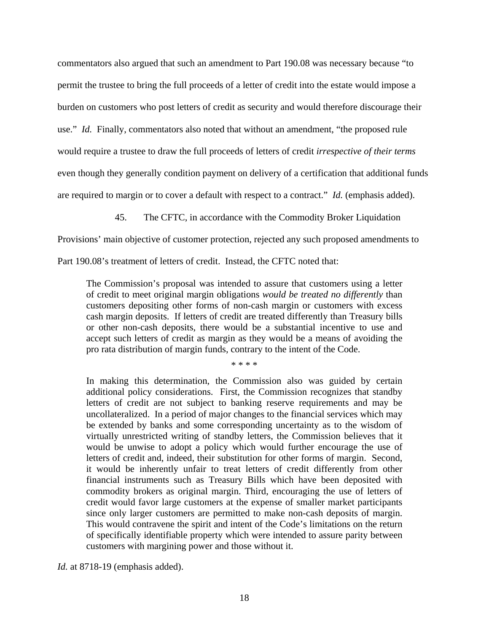commentators also argued that such an amendment to Part 190.08 was necessary because "to permit the trustee to bring the full proceeds of a letter of credit into the estate would impose a burden on customers who post letters of credit as security and would therefore discourage their use." *Id.* Finally, commentators also noted that without an amendment, "the proposed rule would require a trustee to draw the full proceeds of letters of credit *irrespective of their terms* even though they generally condition payment on delivery of a certification that additional funds are required to margin or to cover a default with respect to a contract." *Id.* (emphasis added).

45. The CFTC, in accordance with the Commodity Broker Liquidation

Provisions' main objective of customer protection, rejected any such proposed amendments to

Part 190.08's treatment of letters of credit. Instead, the CFTC noted that:

The Commission's proposal was intended to assure that customers using a letter of credit to meet original margin obligations *would be treated no differently* than customers depositing other forms of non-cash margin or customers with excess cash margin deposits. If letters of credit are treated differently than Treasury bills or other non-cash deposits, there would be a substantial incentive to use and accept such letters of credit as margin as they would be a means of avoiding the pro rata distribution of margin funds, contrary to the intent of the Code.

\* \* \* \*

In making this determination, the Commission also was guided by certain additional policy considerations. First, the Commission recognizes that standby letters of credit are not subject to banking reserve requirements and may be uncollateralized. In a period of major changes to the financial services which may be extended by banks and some corresponding uncertainty as to the wisdom of virtually unrestricted writing of standby letters, the Commission believes that it would be unwise to adopt a policy which would further encourage the use of letters of credit and, indeed, their substitution for other forms of margin. Second, it would be inherently unfair to treat letters of credit differently from other financial instruments such as Treasury Bills which have been deposited with commodity brokers as original margin. Third, encouraging the use of letters of credit would favor large customers at the expense of smaller market participants since only larger customers are permitted to make non-cash deposits of margin. This would contravene the spirit and intent of the Code's limitations on the return of specifically identifiable property which were intended to assure parity between customers with margining power and those without it.

*Id.* at 8718-19 (emphasis added).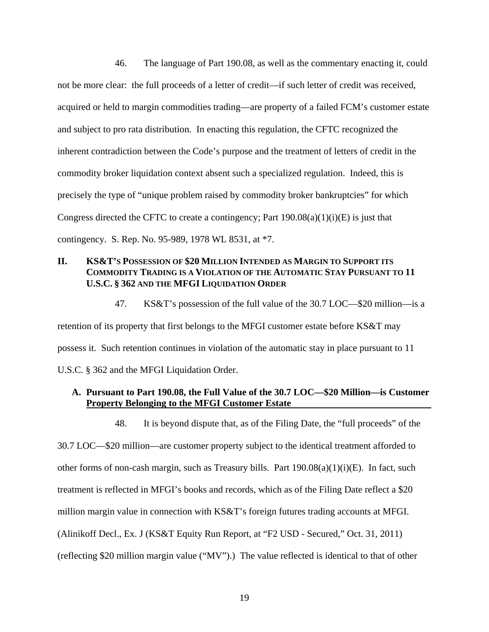46. The language of Part 190.08, as well as the commentary enacting it, could not be more clear: the full proceeds of a letter of credit—if such letter of credit was received, acquired or held to margin commodities trading—are property of a failed FCM's customer estate and subject to pro rata distribution. In enacting this regulation, the CFTC recognized the inherent contradiction between the Code's purpose and the treatment of letters of credit in the commodity broker liquidation context absent such a specialized regulation. Indeed, this is precisely the type of "unique problem raised by commodity broker bankruptcies" for which Congress directed the CFTC to create a contingency; Part  $190.08(a)(1)(i)(E)$  is just that contingency. S. Rep. No. 95-989, 1978 WL 8531, at \*7.

# **II. KS&T'S POSSESSION OF \$20 MILLION INTENDED AS MARGIN TO SUPPORT ITS COMMODITY TRADING IS A VIOLATION OF THE AUTOMATIC STAY PURSUANT TO 11 U.S.C. § 362 AND THE MFGI LIQUIDATION ORDER**

47. KS&T's possession of the full value of the 30.7 LOC—\$20 million—is a retention of its property that first belongs to the MFGI customer estate before KS&T may possess it. Such retention continues in violation of the automatic stay in place pursuant to 11 U.S.C. § 362 and the MFGI Liquidation Order.

### **A. Pursuant to Part 190.08, the Full Value of the 30.7 LOC—\$20 Million—is Customer Property Belonging to the MFGI Customer Estate**

48. It is beyond dispute that, as of the Filing Date, the "full proceeds" of the 30.7 LOC—\$20 million—are customer property subject to the identical treatment afforded to other forms of non-cash margin, such as Treasury bills. Part  $190.08(a)(1)(i)(E)$ . In fact, such treatment is reflected in MFGI's books and records, which as of the Filing Date reflect a \$20 million margin value in connection with KS&T's foreign futures trading accounts at MFGI. (Alinikoff Decl., Ex. J (KS&T Equity Run Report, at "F2 USD - Secured," Oct. 31, 2011) (reflecting \$20 million margin value ("MV").) The value reflected is identical to that of other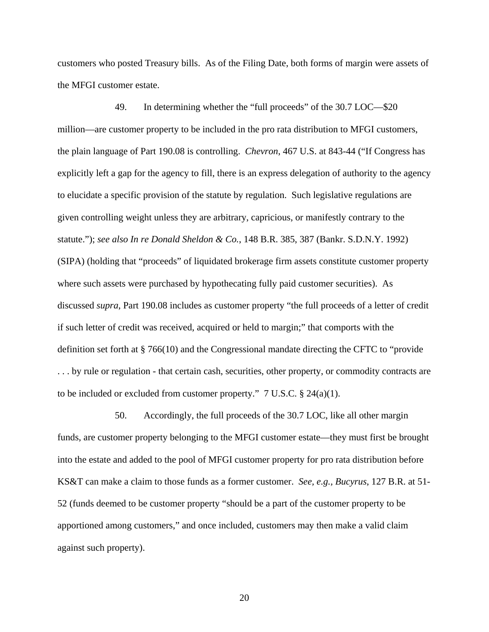customers who posted Treasury bills. As of the Filing Date, both forms of margin were assets of the MFGI customer estate.

49. In determining whether the "full proceeds" of the 30.7 LOC—\$20 million—are customer property to be included in the pro rata distribution to MFGI customers, the plain language of Part 190.08 is controlling. *Chevron*, 467 U.S. at 843-44 ("If Congress has explicitly left a gap for the agency to fill, there is an express delegation of authority to the agency to elucidate a specific provision of the statute by regulation. Such legislative regulations are given controlling weight unless they are arbitrary, capricious, or manifestly contrary to the statute."); *see also In re Donald Sheldon & Co.*, 148 B.R. 385, 387 (Bankr. S.D.N.Y. 1992) (SIPA) (holding that "proceeds" of liquidated brokerage firm assets constitute customer property where such assets were purchased by hypothecating fully paid customer securities). As discussed *supra*, Part 190.08 includes as customer property "the full proceeds of a letter of credit if such letter of credit was received, acquired or held to margin;" that comports with the definition set forth at § 766(10) and the Congressional mandate directing the CFTC to "provide . . . by rule or regulation - that certain cash, securities, other property, or commodity contracts are to be included or excluded from customer property."  $7 \text{ U.S.C.} \$   $24(a)(1)$ .

50. Accordingly, the full proceeds of the 30.7 LOC, like all other margin funds, are customer property belonging to the MFGI customer estate—they must first be brought into the estate and added to the pool of MFGI customer property for pro rata distribution before KS&T can make a claim to those funds as a former customer. *See, e.g., Bucyrus*, 127 B.R. at 51- 52 (funds deemed to be customer property "should be a part of the customer property to be apportioned among customers," and once included, customers may then make a valid claim against such property).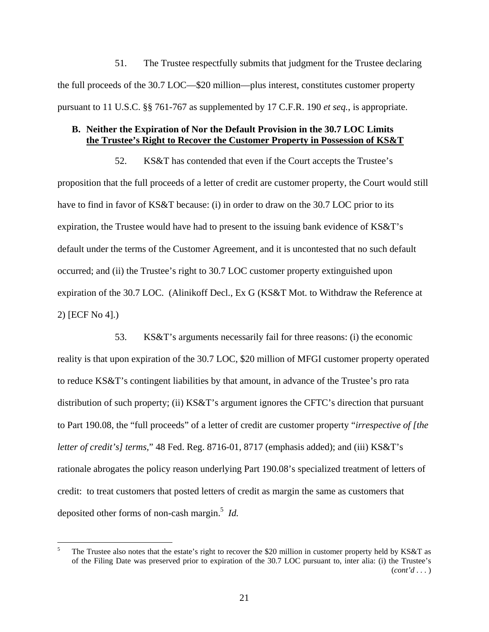51. The Trustee respectfully submits that judgment for the Trustee declaring the full proceeds of the 30.7 LOC—\$20 million—plus interest, constitutes customer property pursuant to 11 U.S.C. §§ 761-767 as supplemented by 17 C.F.R. 190 *et seq.*, is appropriate.

# **B. Neither the Expiration of Nor the Default Provision in the 30.7 LOC Limits the Trustee's Right to Recover the Customer Property in Possession of KS&T**

52. KS&T has contended that even if the Court accepts the Trustee's proposition that the full proceeds of a letter of credit are customer property, the Court would still have to find in favor of KS&T because: (i) in order to draw on the 30.7 LOC prior to its expiration, the Trustee would have had to present to the issuing bank evidence of KS&T's default under the terms of the Customer Agreement, and it is uncontested that no such default occurred; and (ii) the Trustee's right to 30.7 LOC customer property extinguished upon expiration of the 30.7 LOC. (Alinikoff Decl., Ex G (KS&T Mot. to Withdraw the Reference at 2) [ECF No 4].)

53. KS&T's arguments necessarily fail for three reasons: (i) the economic reality is that upon expiration of the 30.7 LOC, \$20 million of MFGI customer property operated to reduce KS&T's contingent liabilities by that amount, in advance of the Trustee's pro rata distribution of such property; (ii) KS&T's argument ignores the CFTC's direction that pursuant to Part 190.08, the "full proceeds" of a letter of credit are customer property "*irrespective of [the letter of credit's] terms,*" 48 Fed. Reg. 8716-01, 8717 (emphasis added); and (iii) KS&T's rationale abrogates the policy reason underlying Part 190.08's specialized treatment of letters of credit: to treat customers that posted letters of credit as margin the same as customers that deposited other forms of non-cash margin.<sup>5</sup> *Id.* 

 5 The Trustee also notes that the estate's right to recover the \$20 million in customer property held by KS&T as of the Filing Date was preserved prior to expiration of the 30.7 LOC pursuant to, inter alia: (i) the Trustee's (*cont'd . . .* )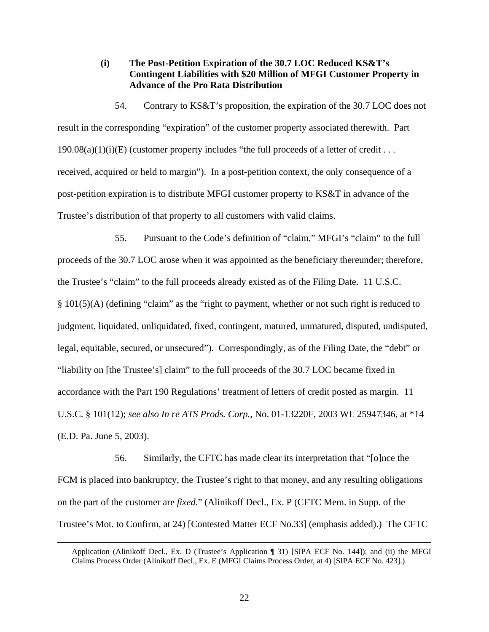## **(i) The Post-Petition Expiration of the 30.7 LOC Reduced KS&T's Contingent Liabilities with \$20 Million of MFGI Customer Property in Advance of the Pro Rata Distribution**

54. Contrary to KS&T's proposition, the expiration of the 30.7 LOC does not result in the corresponding "expiration" of the customer property associated therewith. Part  $190.08(a)(1)(i)(E)$  (customer property includes "the full proceeds of a letter of credit . . . received, acquired or held to margin"). In a post-petition context, the only consequence of a post-petition expiration is to distribute MFGI customer property to KS&T in advance of the Trustee's distribution of that property to all customers with valid claims.

55. Pursuant to the Code's definition of "claim," MFGI's "claim" to the full proceeds of the 30.7 LOC arose when it was appointed as the beneficiary thereunder; therefore, the Trustee's "claim" to the full proceeds already existed as of the Filing Date. 11 U.S.C. § 101(5)(A) (defining "claim" as the "right to payment, whether or not such right is reduced to judgment, liquidated, unliquidated, fixed, contingent, matured, unmatured, disputed, undisputed, legal, equitable, secured, or unsecured"). Correspondingly, as of the Filing Date, the "debt" or "liability on [the Trustee's] claim" to the full proceeds of the 30.7 LOC became fixed in accordance with the Part 190 Regulations' treatment of letters of credit posted as margin. 11 U.S.C. § 101(12); *see also In re ATS Prods. Corp.*, No. 01-13220F, 2003 WL 25947346, at \*14 (E.D. Pa. June 5, 2003).

56. Similarly, the CFTC has made clear its interpretation that "[o]nce the FCM is placed into bankruptcy, the Trustee's right to that money, and any resulting obligations on the part of the customer are *fixed*." (Alinikoff Decl., Ex. P (CFTC Mem. in Supp. of the Trustee's Mot. to Confirm, at 24) [Contested Matter ECF No.33] (emphasis added).) The CFTC

Application (Alinikoff Decl., Ex. D (Trustee's Application ¶ 31) [SIPA ECF No. 144]); and (ii) the MFGI Claims Process Order (Alinikoff Decl., Ex. E (MFGI Claims Process Order, at 4) [SIPA ECF No. 423].)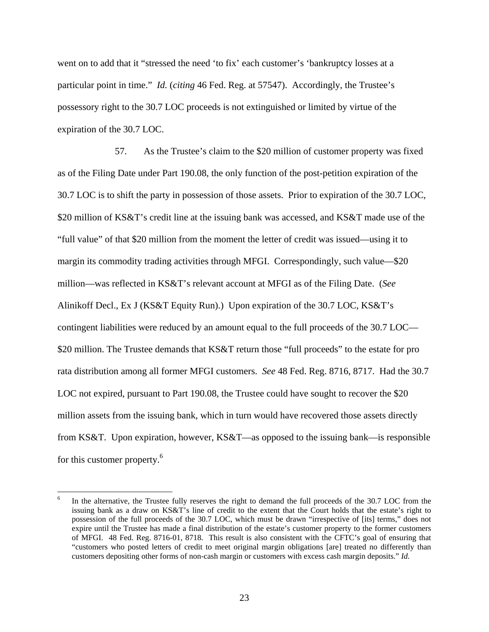went on to add that it "stressed the need 'to fix' each customer's 'bankruptcy losses at a particular point in time." *Id.* (*citing* 46 Fed. Reg. at 57547). Accordingly, the Trustee's possessory right to the 30.7 LOC proceeds is not extinguished or limited by virtue of the expiration of the 30.7 LOC.

57. As the Trustee's claim to the \$20 million of customer property was fixed as of the Filing Date under Part 190.08, the only function of the post-petition expiration of the 30.7 LOC is to shift the party in possession of those assets. Prior to expiration of the 30.7 LOC, \$20 million of KS&T's credit line at the issuing bank was accessed, and KS&T made use of the "full value" of that \$20 million from the moment the letter of credit was issued—using it to margin its commodity trading activities through MFGI. Correspondingly, such value—\$20 million—was reflected in KS&T's relevant account at MFGI as of the Filing Date. (*See* Alinikoff Decl., Ex J (KS&T Equity Run).) Upon expiration of the 30.7 LOC, KS&T's contingent liabilities were reduced by an amount equal to the full proceeds of the 30.7 LOC— \$20 million. The Trustee demands that KS&T return those "full proceeds" to the estate for pro rata distribution among all former MFGI customers. *See* 48 Fed. Reg. 8716, 8717. Had the 30.7 LOC not expired, pursuant to Part 190.08, the Trustee could have sought to recover the \$20 million assets from the issuing bank, which in turn would have recovered those assets directly from KS&T. Upon expiration, however, KS&T—as opposed to the issuing bank—is responsible for this customer property.<sup>6</sup>

 $\overline{a}$ 

<sup>6</sup> In the alternative, the Trustee fully reserves the right to demand the full proceeds of the 30.7 LOC from the issuing bank as a draw on KS&T's line of credit to the extent that the Court holds that the estate's right to possession of the full proceeds of the 30.7 LOC, which must be drawn "irrespective of [its] terms," does not expire until the Trustee has made a final distribution of the estate's customer property to the former customers of MFGI. 48 Fed. Reg. 8716-01, 8718. This result is also consistent with the CFTC's goal of ensuring that "customers who posted letters of credit to meet original margin obligations [are] treated no differently than customers depositing other forms of non-cash margin or customers with excess cash margin deposits." *Id.*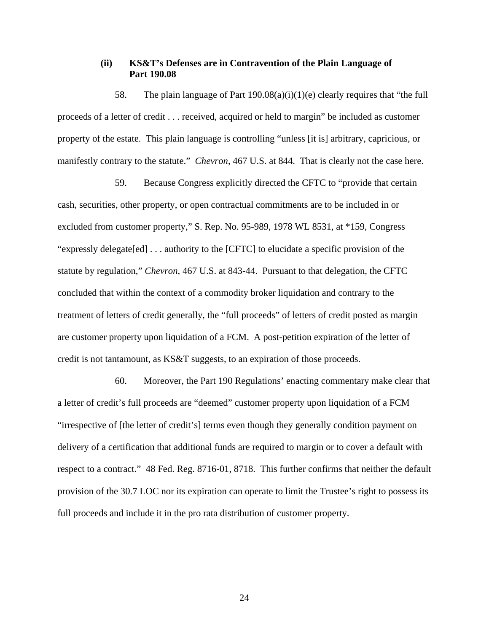### **(ii) KS&T's Defenses are in Contravention of the Plain Language of Part 190.08**

58. The plain language of Part  $190.08(a)(i)(1)(e)$  clearly requires that "the full proceeds of a letter of credit . . . received, acquired or held to margin" be included as customer property of the estate. This plain language is controlling "unless [it is] arbitrary, capricious, or manifestly contrary to the statute." *Chevron*, 467 U.S. at 844. That is clearly not the case here.

59. Because Congress explicitly directed the CFTC to "provide that certain cash, securities, other property, or open contractual commitments are to be included in or excluded from customer property," S. Rep. No. 95-989, 1978 WL 8531, at \*159, Congress "expressly delegate[ed] . . . authority to the [CFTC] to elucidate a specific provision of the statute by regulation," *Chevron*, 467 U.S. at 843-44. Pursuant to that delegation, the CFTC concluded that within the context of a commodity broker liquidation and contrary to the treatment of letters of credit generally, the "full proceeds" of letters of credit posted as margin are customer property upon liquidation of a FCM. A post-petition expiration of the letter of credit is not tantamount, as KS&T suggests, to an expiration of those proceeds.

60. Moreover, the Part 190 Regulations' enacting commentary make clear that a letter of credit's full proceeds are "deemed" customer property upon liquidation of a FCM "irrespective of [the letter of credit's] terms even though they generally condition payment on delivery of a certification that additional funds are required to margin or to cover a default with respect to a contract." 48 Fed. Reg. 8716-01, 8718. This further confirms that neither the default provision of the 30.7 LOC nor its expiration can operate to limit the Trustee's right to possess its full proceeds and include it in the pro rata distribution of customer property.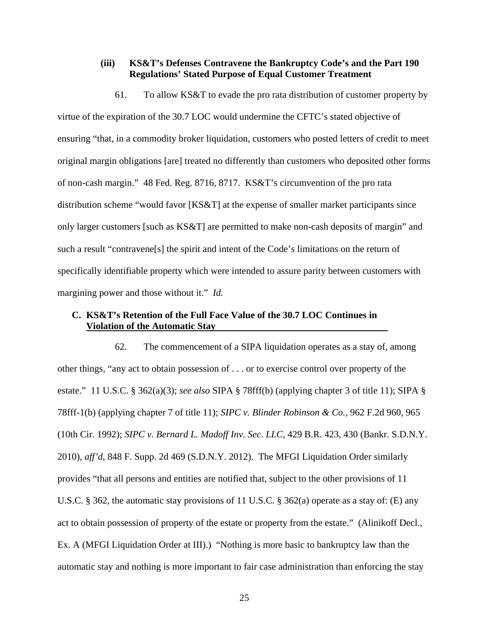# **(iii) KS&T's Defenses Contravene the Bankruptcy Code's and the Part 190 Regulations' Stated Purpose of Equal Customer Treatment**

61. To allow KS&T to evade the pro rata distribution of customer property by virtue of the expiration of the 30.7 LOC would undermine the CFTC's stated objective of ensuring "that, in a commodity broker liquidation, customers who posted letters of credit to meet original margin obligations [are] treated no differently than customers who deposited other forms of non-cash margin." 48 Fed. Reg. 8716, 8717. KS&T's circumvention of the pro rata distribution scheme "would favor [KS&T] at the expense of smaller market participants since only larger customers [such as KS&T] are permitted to make non-cash deposits of margin" and such a result "contravene[s] the spirit and intent of the Code's limitations on the return of specifically identifiable property which were intended to assure parity between customers with margining power and those without it." *Id.*

# **C. KS&T's Retention of the Full Face Value of the 30.7 LOC Continues in Violation of the Automatic Stay**

62. The commencement of a SIPA liquidation operates as a stay of, among other things, "any act to obtain possession of . . . or to exercise control over property of the estate." 11 U.S.C. § 362(a)(3); *see also* SIPA § 78fff(b) (applying chapter 3 of title 11); SIPA § 78fff-1(b) (applying chapter 7 of title 11); *SIPC v. Blinder Robinson & Co.*, 962 F.2d 960, 965 (10th Cir. 1992); *SIPC v. Bernard L. Madoff Inv. Sec*. *LLC*, 429 B.R. 423, 430 (Bankr. S.D.N.Y. 2010), *aff'd*, 848 F. Supp. 2d 469 (S.D.N.Y. 2012). The MFGI Liquidation Order similarly provides "that all persons and entities are notified that, subject to the other provisions of 11 U.S.C. § 362, the automatic stay provisions of 11 U.S.C. § 362(a) operate as a stay of: (E) any act to obtain possession of property of the estate or property from the estate." (Alinikoff Decl., Ex. A (MFGI Liquidation Order at III).) "Nothing is more basic to bankruptcy law than the automatic stay and nothing is more important to fair case administration than enforcing the stay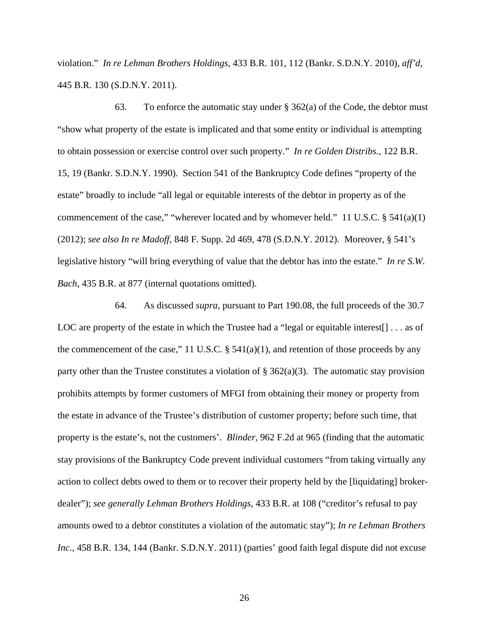violation." *In re Lehman Brothers Holdings*, 433 B.R. 101, 112 (Bankr. S.D.N.Y. 2010), *aff'd*, 445 B.R. 130 (S.D.N.Y. 2011).

63. To enforce the automatic stay under § 362(a) of the Code, the debtor must "show what property of the estate is implicated and that some entity or individual is attempting to obtain possession or exercise control over such property." *In re Golden Distribs.*, 122 B.R. 15, 19 (Bankr. S.D.N.Y. 1990). Section 541 of the Bankruptcy Code defines "property of the estate" broadly to include "all legal or equitable interests of the debtor in property as of the commencement of the case," "wherever located and by whomever held." 11 U.S.C. § 541(a)(1) (2012); *see also In re Madoff*, 848 F. Supp. 2d 469, 478 (S.D.N.Y. 2012). Moreover, § 541's legislative history "will bring everything of value that the debtor has into the estate." *In re S.W. Bach*, 435 B.R. at 877 (internal quotations omitted).

64. As discussed *supra*, pursuant to Part 190.08, the full proceeds of the 30.7 LOC are property of the estate in which the Trustee had a "legal or equitable interest... as of the commencement of the case," 11 U.S.C.  $\S$  541(a)(1), and retention of those proceeds by any party other than the Trustee constitutes a violation of  $\S 362(a)(3)$ . The automatic stay provision prohibits attempts by former customers of MFGI from obtaining their money or property from the estate in advance of the Trustee's distribution of customer property; before such time, that property is the estate's, not the customers'. *Blinder*, 962 F.2d at 965 (finding that the automatic stay provisions of the Bankruptcy Code prevent individual customers "from taking virtually any action to collect debts owed to them or to recover their property held by the [liquidating] brokerdealer"); *see generally Lehman Brothers Holdings*, 433 B.R. at 108 ("creditor's refusal to pay amounts owed to a debtor constitutes a violation of the automatic stay"); *In re Lehman Brothers Inc*., 458 B.R. 134, 144 (Bankr. S.D.N.Y. 2011) (parties' good faith legal dispute did not excuse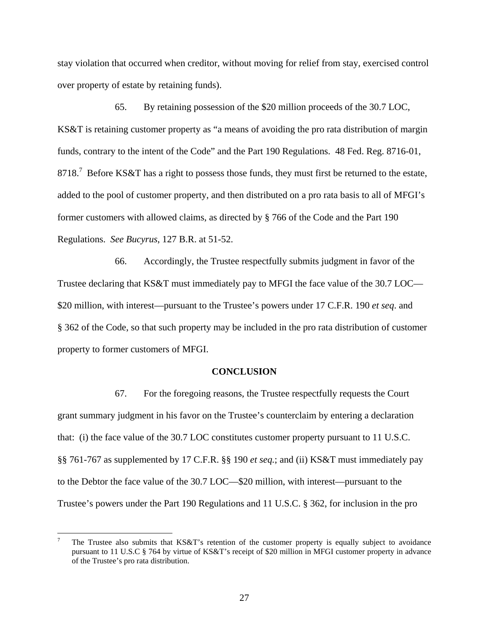stay violation that occurred when creditor, without moving for relief from stay, exercised control over property of estate by retaining funds).

65. By retaining possession of the \$20 million proceeds of the 30.7 LOC, KS&T is retaining customer property as "a means of avoiding the pro rata distribution of margin funds, contrary to the intent of the Code" and the Part 190 Regulations. 48 Fed. Reg. 8716-01, 8718.<sup>7</sup> Before KS&T has a right to possess those funds, they must first be returned to the estate, added to the pool of customer property, and then distributed on a pro rata basis to all of MFGI's former customers with allowed claims, as directed by § 766 of the Code and the Part 190 Regulations. *See Bucyrus*, 127 B.R. at 51-52.

66. Accordingly, the Trustee respectfully submits judgment in favor of the Trustee declaring that KS&T must immediately pay to MFGI the face value of the 30.7 LOC— \$20 million, with interest—pursuant to the Trustee's powers under 17 C.F.R. 190 *et seq*. and § 362 of the Code, so that such property may be included in the pro rata distribution of customer property to former customers of MFGI.

#### **CONCLUSION**

67. For the foregoing reasons, the Trustee respectfully requests the Court grant summary judgment in his favor on the Trustee's counterclaim by entering a declaration that: (i) the face value of the 30.7 LOC constitutes customer property pursuant to 11 U.S.C. §§ 761-767 as supplemented by 17 C.F.R. §§ 190 *et seq.*; and (ii) KS&T must immediately pay to the Debtor the face value of the 30.7 LOC—\$20 million, with interest—pursuant to the Trustee's powers under the Part 190 Regulations and 11 U.S.C. § 362, for inclusion in the pro

 $\overline{a}$ 

<sup>7</sup> The Trustee also submits that KS&T's retention of the customer property is equally subject to avoidance pursuant to 11 U.S.C § 764 by virtue of KS&T's receipt of \$20 million in MFGI customer property in advance of the Trustee's pro rata distribution.